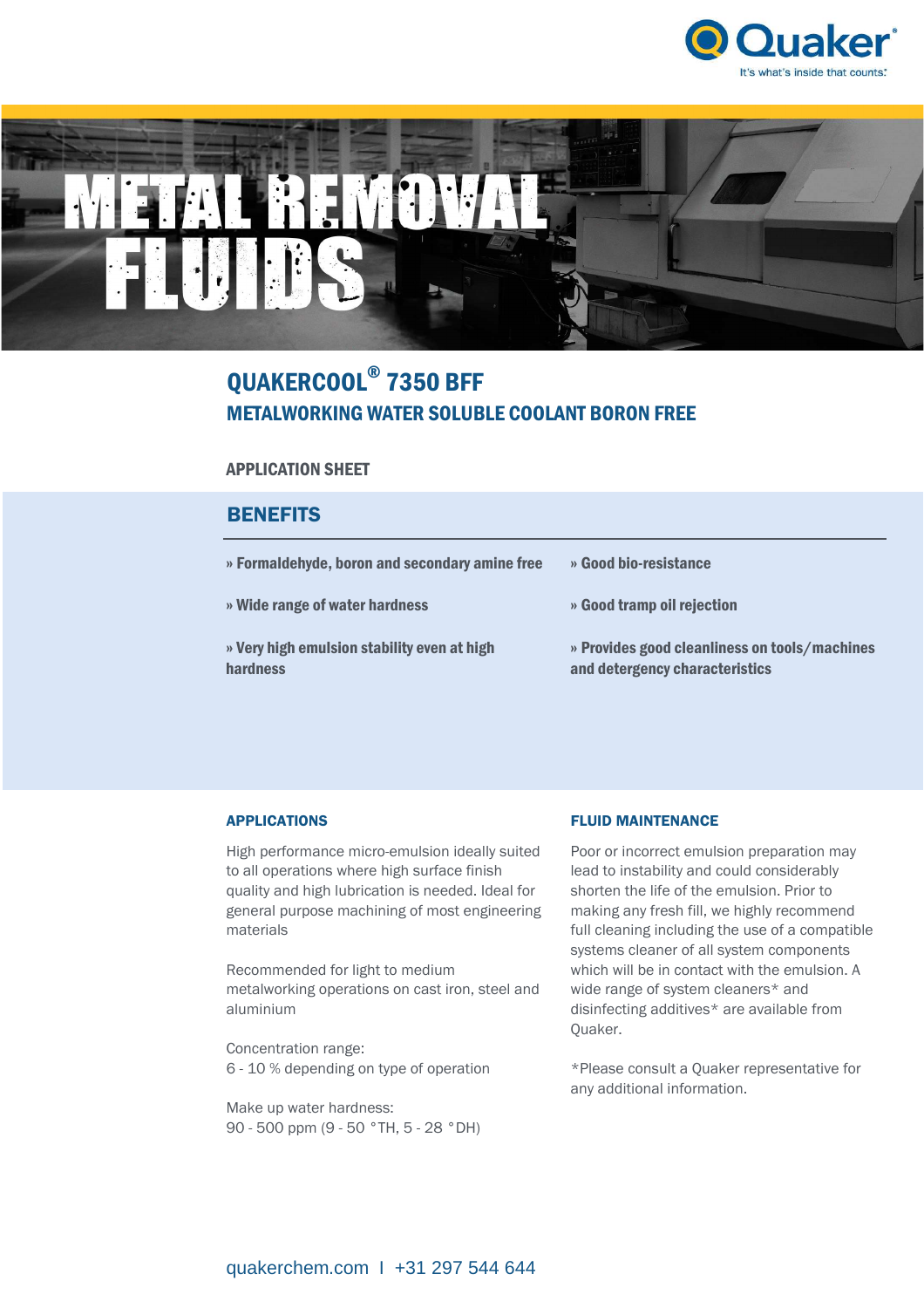



# QUAKERCOOL® 7350 BFF METALWORKING WATER SOLUBLE COOLANT BORON FREE

## APPLICATION SHEET

## **BENEFITS**

| » Formaldehyde, boron and secondary amine free          | » Good bio-resistance                                                           |
|---------------------------------------------------------|---------------------------------------------------------------------------------|
| » Wide range of water hardness                          | » Good tramp oil rejection                                                      |
| » Very high emulsion stability even at high<br>hardness | » Provides good cleanliness on tools/machines<br>and detergency characteristics |

## APPLICATIONS

High performance micro-emulsion ideally suited to all operations where high surface finish quality and high lubrication is needed. Ideal for general purpose machining of most engineering materials

Recommended for light to medium metalworking operations on cast iron, steel and aluminium

Concentration range: 6 - 10 % depending on type of operation

Make up water hardness: 90 - 500 ppm (9 - 50 °TH, 5 - 28 °DH)

### FLUID MAINTENANCE

Poor or incorrect emulsion preparation may lead to instability and could considerably shorten the life of the emulsion. Prior to making any fresh fill, we highly recommend full cleaning including the use of a compatible systems cleaner of all system components which will be in contact with the emulsion. A wide range of system cleaners\* and disinfecting additives\* are available from Quaker.

\*Please consult a Quaker representative for any additional information.